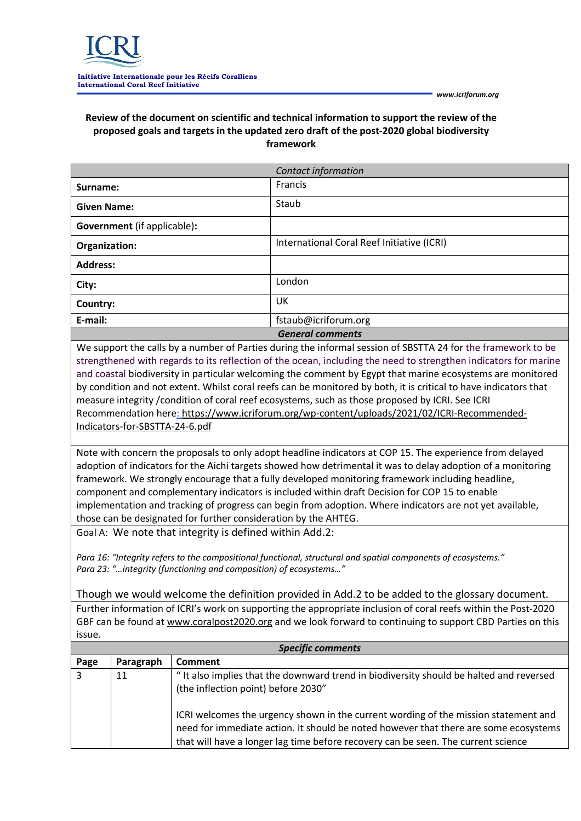

## **Review of the document on scientific and technical information to support the review of the proposed goals and targets in the updated zero draft of the post-2020 global biodiversity framework**

|                                    | Contact information                        |
|------------------------------------|--------------------------------------------|
| Surname:                           | Francis                                    |
| <b>Given Name:</b>                 | Staub                                      |
| <b>Government</b> (if applicable): |                                            |
| Organization:                      | International Coral Reef Initiative (ICRI) |
| <b>Address:</b>                    |                                            |
| City:                              | London                                     |
| Country:                           | UK                                         |
| E-mail:                            | fstaub@icriforum.org                       |
|                                    | <b>General comments</b>                    |

We support the calls by a number of Parties during the informal session of SBSTTA 24 for the framework to be strengthened with regards to its reflection of the ocean, including the need to strengthen indicators for marine and coastal biodiversity in particular welcoming the comment by Egypt that marine ecosystems are monitored by condition and not extent. Whilst coral reefs can be monitored by both, it is critical to have indicators that measure integrity /condition of coral reef ecosystems, such as those proposed by ICRI. See ICRI Recommendation here: https://www.icriforum.org/wp-content/uploads/2021/02/ICRI-Recommended-Indicators-for-SBSTTA-24-6.pdf

Note with concern the proposals to only adopt headline indicators at COP 15. The experience from delayed adoption of indicators for the Aichi targets showed how detrimental it was to delay adoption of a monitoring framework. We strongly encourage that a fully developed monitoring framework including headline, component and complementary indicators is included within draft Decision for COP 15 to enable implementation and tracking of progress can begin from adoption. Where indicators are not yet available, those can be designated for further consideration by the AHTEG.

Goal A: We note that integrity is defined within Add.2:

*Para 16: "Integrity refers to the compositional functional, structural and spatial components of ecosystems." Para 23: "…integrity (functioning and composition) of ecosystems…"*

Though we would welcome the definition provided in Add.2 to be added to the glossary document. Further information of ICRI's work on supporting the appropriate inclusion of coral reefs within the Post-2020 GBF can be found at www.coralpost2020.org and we look forward to continuing to support CBD Parties on this issue.

| <b>Specific comments</b> |           |                                                                                                                                                                                                                                                                  |  |
|--------------------------|-----------|------------------------------------------------------------------------------------------------------------------------------------------------------------------------------------------------------------------------------------------------------------------|--|
| Page                     | Paragraph | Comment                                                                                                                                                                                                                                                          |  |
| 3                        | 11        | "It also implies that the downward trend in biodiversity should be halted and reversed<br>(the inflection point) before 2030"                                                                                                                                    |  |
|                          |           | ICRI welcomes the urgency shown in the current wording of the mission statement and<br>need for immediate action. It should be noted however that there are some ecosystems<br>that will have a longer lag time before recovery can be seen. The current science |  |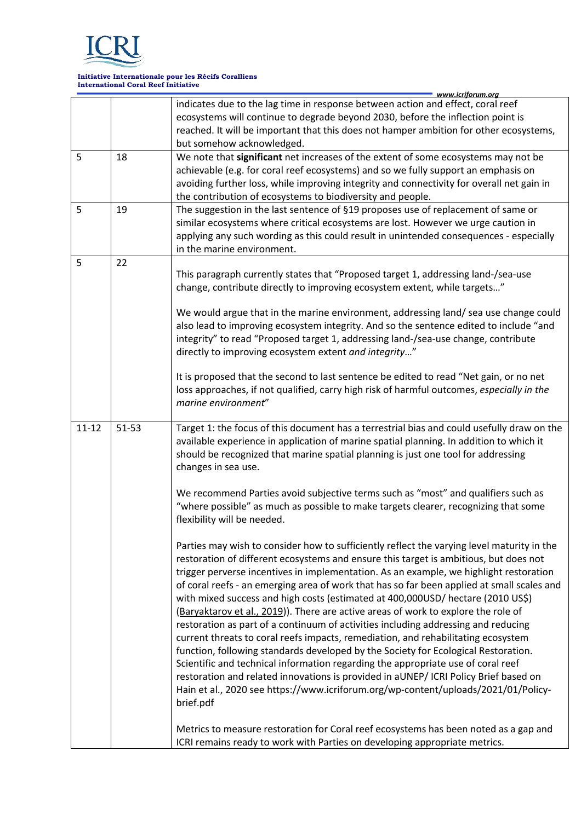

## **Initiative Internationale pour les Récifs Coralliens International Coral Reef Initiative**

|           |       | www.icriforum.ora                                                                                                                                                              |
|-----------|-------|--------------------------------------------------------------------------------------------------------------------------------------------------------------------------------|
|           |       | indicates due to the lag time in response between action and effect, coral reef                                                                                                |
|           |       | ecosystems will continue to degrade beyond 2030, before the inflection point is                                                                                                |
|           |       | reached. It will be important that this does not hamper ambition for other ecosystems,                                                                                         |
|           |       | but somehow acknowledged.                                                                                                                                                      |
| 5         | 18    | We note that significant net increases of the extent of some ecosystems may not be                                                                                             |
|           |       | achievable (e.g. for coral reef ecosystems) and so we fully support an emphasis on                                                                                             |
|           |       | avoiding further loss, while improving integrity and connectivity for overall net gain in                                                                                      |
|           |       | the contribution of ecosystems to biodiversity and people.                                                                                                                     |
| 5         | 19    | The suggestion in the last sentence of §19 proposes use of replacement of same or                                                                                              |
|           |       | similar ecosystems where critical ecosystems are lost. However we urge caution in                                                                                              |
|           |       | applying any such wording as this could result in unintended consequences - especially                                                                                         |
|           |       | in the marine environment.                                                                                                                                                     |
| 5         | 22    |                                                                                                                                                                                |
|           |       | This paragraph currently states that "Proposed target 1, addressing land-/sea-use                                                                                              |
|           |       | change, contribute directly to improving ecosystem extent, while targets"                                                                                                      |
|           |       |                                                                                                                                                                                |
|           |       | We would argue that in the marine environment, addressing land/ sea use change could<br>also lead to improving ecosystem integrity. And so the sentence edited to include "and |
|           |       | integrity" to read "Proposed target 1, addressing land-/sea-use change, contribute                                                                                             |
|           |       | directly to improving ecosystem extent and integrity"                                                                                                                          |
|           |       |                                                                                                                                                                                |
|           |       | It is proposed that the second to last sentence be edited to read "Net gain, or no net                                                                                         |
|           |       | loss approaches, if not qualified, carry high risk of harmful outcomes, especially in the                                                                                      |
|           |       | marine environment"                                                                                                                                                            |
|           |       |                                                                                                                                                                                |
| $11 - 12$ | 51-53 | Target 1: the focus of this document has a terrestrial bias and could usefully draw on the                                                                                     |
|           |       | available experience in application of marine spatial planning. In addition to which it                                                                                        |
|           |       | should be recognized that marine spatial planning is just one tool for addressing                                                                                              |
|           |       | changes in sea use.                                                                                                                                                            |
|           |       |                                                                                                                                                                                |
|           |       | We recommend Parties avoid subjective terms such as "most" and qualifiers such as                                                                                              |
|           |       | "where possible" as much as possible to make targets clearer, recognizing that some                                                                                            |
|           |       | flexibility will be needed.                                                                                                                                                    |
|           |       |                                                                                                                                                                                |
|           |       | Parties may wish to consider how to sufficiently reflect the varying level maturity in the                                                                                     |
|           |       | restoration of different ecosystems and ensure this target is ambitious, but does not                                                                                          |
|           |       | trigger perverse incentives in implementation. As an example, we highlight restoration                                                                                         |
|           |       | of coral reefs - an emerging area of work that has so far been applied at small scales and                                                                                     |
|           |       | with mixed success and high costs (estimated at 400,000USD/ hectare (2010 US\$)                                                                                                |
|           |       | (Baryaktarov et al., 2019)). There are active areas of work to explore the role of                                                                                             |
|           |       | restoration as part of a continuum of activities including addressing and reducing                                                                                             |
|           |       | current threats to coral reefs impacts, remediation, and rehabilitating ecosystem                                                                                              |
|           |       | function, following standards developed by the Society for Ecological Restoration.                                                                                             |
|           |       | Scientific and technical information regarding the appropriate use of coral reef                                                                                               |
|           |       | restoration and related innovations is provided in aUNEP/ ICRI Policy Brief based on                                                                                           |
|           |       | Hain et al., 2020 see https://www.icriforum.org/wp-content/uploads/2021/01/Policy-                                                                                             |
|           |       | brief.pdf                                                                                                                                                                      |
|           |       |                                                                                                                                                                                |
|           |       | Metrics to measure restoration for Coral reef ecosystems has been noted as a gap and                                                                                           |
|           |       | ICRI remains ready to work with Parties on developing appropriate metrics.                                                                                                     |